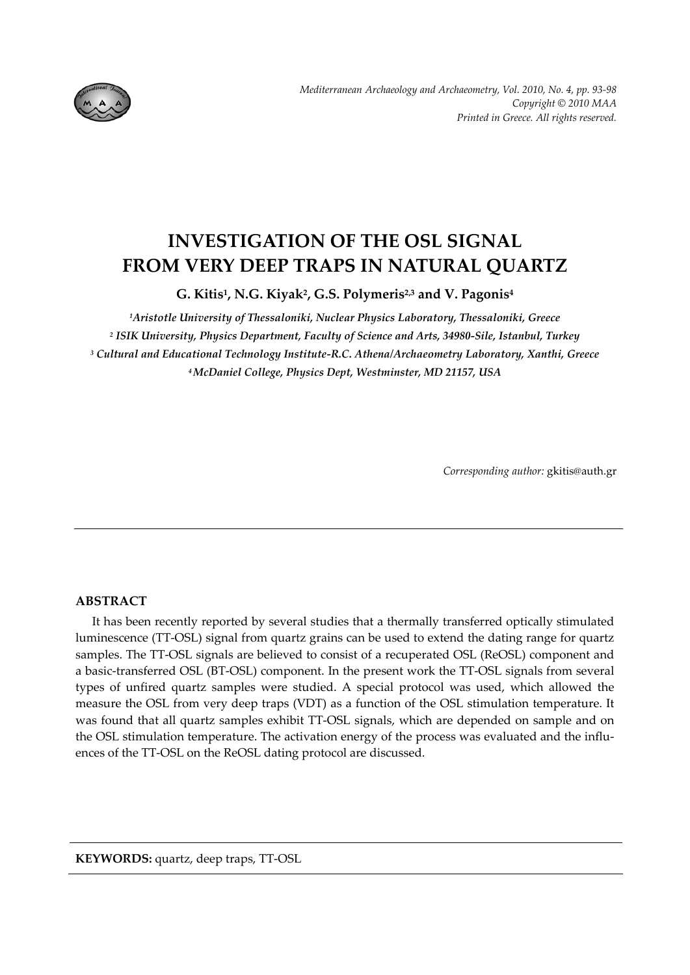

# **INVESTIGATION OF THE OSL SIGNAL FROM VERY DEEP TRAPS IN NATURAL QUARTZ**

**G. Kitis1, N.G. Kiyak2, G.S. Polymeris2,3 and V. Pagonis4**

*1Aristotle University of Thessaloniki, Nuclear Physics Laboratory, Thessaloniki, Greece <sup>2</sup> ISIK University, Physics Department, Faculty of Science and Arts, 34980‐Sile, Istanbul, Turkey <sup>3</sup> Cultural and Educational Technology Institute‐R.C. Athena/Archaeometry Laboratory, Xanthi, Greece 4McDaniel College, Physics Dept, Westminster, MD 21157, USA*

*Corresponding author:* gkitis@auth.gr

## **ABSTRACT**

It has been recently reported by several studies that a thermally transferred optically stimulated luminescence (TT‐OSL) signal from quartz grains can be used to extend the dating range for quartz samples. The TT-OSL signals are believed to consist of a recuperated OSL (ReOSL) component and a basic‐transferred OSL (BT‐OSL) component. In the present work the TT‐OSL signals from several types of unfired quartz samples were studied. A special protocol was used, which allowed the measure the OSL from very deep traps (VDT) as a function of the OSL stimulation temperature. It was found that all quartz samples exhibit TT‐OSL signals, which are depended on sample and on the OSL stimulation temperature. The activation energy of the process was evaluated and the influences of the TT‐OSL on the ReOSL dating protocol are discussed.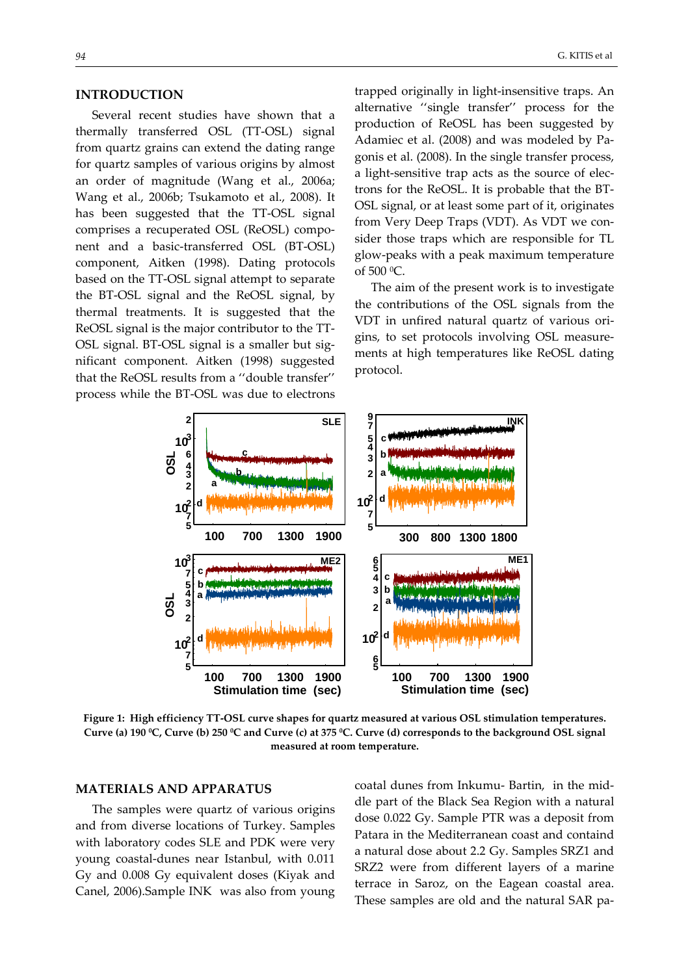## **INTRODUCTION**

Several recent studies have shown that a thermally transferred OSL (TT‐OSL) signal from quartz grains can extend the dating range for quartz samples of various origins by almost an order of magnitude (Wang et al., 2006a; Wang et al., 2006b; Tsukamoto et al., 2008). It has been suggested that the TT-OSL signal comprises a recuperated OSL (ReOSL) compo‐ nent and a basic‐transferred OSL (BT‐OSL) component, Aitken (1998). Dating protocols based on the TT‐OSL signal attempt to separate the BT‐OSL signal and the ReOSL signal, by thermal treatments. It is suggested that the ReOSL signal is the major contributor to the TT‐ OSL signal. BT‐OSL signal is a smaller but sig‐ nificant component. Aitken (1998) suggested that the ReOSL results from a ''double transfer'' process while the BT‐OSL was due to electrons

trapped originally in light‐insensitive traps. An alternative ''single transfer'' process for the production of ReOSL has been suggested by Adamiec et al. (2008) and was modeled by Pa‐ gonis et al. (2008). In the single transfer process, a light-sensitive trap acts as the source of electrons for the ReOSL. It is probable that the BT‐ OSL signal, or at least some part of it, originates from Very Deep Traps (VDT). As VDT we con‐ sider those traps which are responsible for TL glow‐peaks with a peak maximum temperature of 500 0C.

The aim of the present work is to investigate the contributions of the OSL signals from the VDT in unfired natural quartz of various ori‐ gins, to set protocols involving OSL measure‐ ments at high temperatures like ReOSL dating protocol.



Figure 1: High efficiency TT-OSL curve shapes for quartz measured at various OSL stimulation temperatures. Curve (a) 190 °C, Curve (b) 250 °C and Curve (c) at 375 °C. Curve (d) corresponds to the background OSL signal **measured at room temperature.**

#### **MATERIALS AND APPARATUS**

The samples were quartz of various origins and from diverse locations of Turkey. Samples with laboratory codes SLE and PDK were very young coastal‐dunes near Istanbul, with 0.011 Gy and 0.008 Gy equivalent doses (Kiyak and Canel, 2006).Sample INK was also from young

coatal dunes from Inkumu‐ Bartin, in the mid‐ dle part of the Black Sea Region with a natural dose 0.022 Gy. Sample PTR was a deposit from Patara in the Mediterranean coast and containd a natural dose about 2.2 Gy. Samples SRZ1 and SRZ2 were from different layers of a marine terrace in Saroz, on the Eagean coastal area. These samples are old and the natural SAR pa‐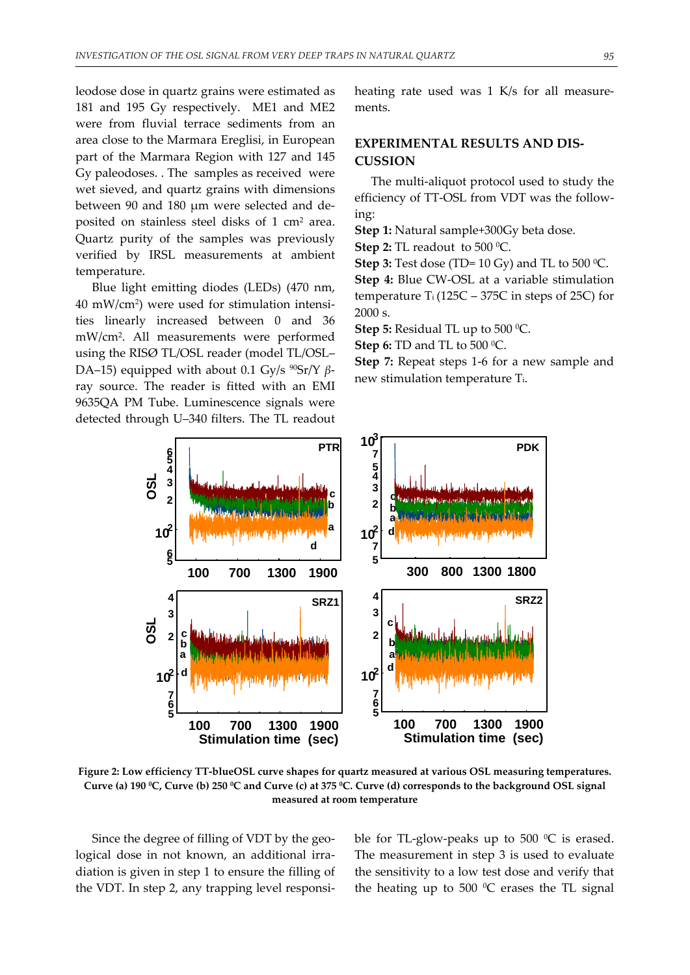leodose dose in quartz grains were estimated as 181 and 195 Gy respectively. ME1 and ME2 were from fluvial terrace sediments from an area close to the Marmara Ereglisi, in European part of the Marmara Region with 127 and 145 Gy paleodoses. . The samples as received were wet sieved, and quartz grains with dimensions between 90 and 180 μm were selected and deposited on stainless steel disks of 1 cm2 area. Quartz purity of the samples was previously verified by IRSL measurements at ambient temperature.

Blue light emitting diodes (LEDs) (470 nm, 40 mW/cm2) were used for stimulation intensi‐ ties linearly increased between 0 and 36 mW/cm2. All measurements were performed using the RISØ TL/OSL reader (model TL/OSL– DA–15) equipped with about 0.1 Gy/s <sup>90</sup>Sr/Y βray source. The reader is fitted with an EMI 9635QA PM Tube. Luminescence signals were detected through U–340 filters. The TL readout

heating rate used was 1 K/s for all measurements.

# **EXPERIMENTAL RESULTS AND DIS‐ CUSSION**

The multi‐aliquot protocol used to study the efficiency of TT‐OSL from VDT was the follow‐ ing:

**Step 1:** Natural sample+300Gy beta dose.

**Step 2:** TL readout to 500 °C.

**Step 3:** Test dose (TD= 10 Gy) and TL to 500 °C.

**Step 4:** Blue CW‐OSL at a variable stimulation temperature T<sub>i</sub> (125C – 375C in steps of 25C) for 2000 s.

**Step 5:** Residual TL up to 500 °C.

**Step 6:** TD and TL to 500 °C.

**Step 7:** Repeat steps 1‐6 for a new sample and new stimulation temperature Ti.



Figure 2: Low efficiency TT-blueOSL curve shapes for quartz measured at various OSL measuring temperatures. Curve (a) 190 °C, Curve (b) 250 °C and Curve (c) at 375 °C. Curve (d) corresponds to the background OSL signal **measured at room temperature**

Since the degree of filling of VDT by the geo‐ logical dose in not known, an additional irra‐ diation is given in step 1 to ensure the filling of the VDT. In step 2, any trapping level responsi‐

ble for TL-glow-peaks up to 500  $\rm{^0C}$  is erased. The measurement in step 3 is used to evaluate the sensitivity to a low test dose and verify that the heating up to 500  $^{\circ}$ C erases the TL signal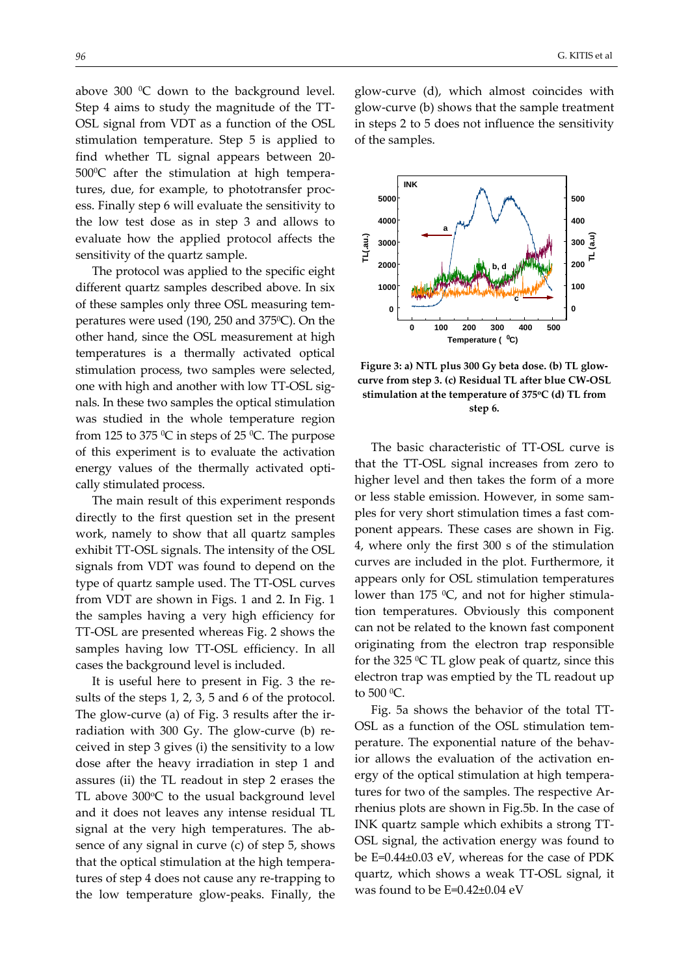above 300  $^{\circ}$ C down to the background level. Step 4 aims to study the magnitude of the TT‐ OSL signal from VDT as a function of the OSL stimulation temperature. Step 5 is applied to find whether TL signal appears between 20‐  $500^{\circ}$ C after the stimulation at high temperatures, due, for example, to phototransfer process. Finally step 6 will evaluate the sensitivity to the low test dose as in step 3 and allows to evaluate how the applied protocol affects the sensitivity of the quartz sample.

The protocol was applied to the specific eight different quartz samples described above. In six of these samples only three OSL measuring tem‐ peratures were used (190, 250 and  $375^{\circ}$ C). On the other hand, since the OSL measurement at high temperatures is a thermally activated optical stimulation process, two samples were selected, one with high and another with low TT‐OSL sig‐ nals. In these two samples the optical stimulation was studied in the whole temperature region from 125 to 375  $^{\circ}$ C in steps of 25  $^{\circ}$ C. The purpose of this experiment is to evaluate the activation energy values of the thermally activated optically stimulated process.

The main result of this experiment responds directly to the first question set in the present work, namely to show that all quartz samples exhibit TT‐OSL signals. The intensity of the OSL signals from VDT was found to depend on the type of quartz sample used. The TT‐OSL curves from VDT are shown in Figs. 1 and 2. In Fig. 1 the samples having a very high efficiency for TT‐OSL are presented whereas Fig. 2 shows the samples having low TT-OSL efficiency. In all cases the background level is included.

It is useful here to present in Fig. 3 the re‐ sults of the steps 1, 2, 3, 5 and 6 of the protocol. The glow-curve (a) of Fig. 3 results after the irradiation with 300 Gy. The glow-curve (b) received in step 3 gives (i) the sensitivity to a low dose after the heavy irradiation in step 1 and assures (ii) the TL readout in step 2 erases the TL above  $300^{\circ}$ C to the usual background level and it does not leaves any intense residual TL signal at the very high temperatures. The absence of any signal in curve (c) of step 5, shows that the optical stimulation at the high tempera‐ tures of step 4 does not cause any re‐trapping to the low temperature glow‐peaks. Finally, the glow‐curve (d), which almost coincides with glow‐curve (b) shows that the sample treatment in steps 2 to 5 does not influence the sensitivity of the samples.



**Figure 3: a) NTL plus 300 Gy beta dose. (b) TL glow‐ curve from step 3. (c) Residual TL after blue CW‐OSL stimulation at the temperature of 375oC (d) TL from step 6.**

The basic characteristic of TT‐OSL curve is that the TT‐OSL signal increases from zero to higher level and then takes the form of a more or less stable emission. However, in some sam‐ ples for very short stimulation times a fast com‐ ponent appears. These cases are shown in Fig. 4, where only the first 300 s of the stimulation curves are included in the plot. Furthermore, it appears only for OSL stimulation temperatures lower than 175  $\rm{^0C}$ , and not for higher stimulation temperatures. Obviously this component can not be related to the known fast component originating from the electron trap responsible for the 325  $\rm{C}$  TL glow peak of quartz, since this electron trap was emptied by the TL readout up to 500 0C.

Fig. 5a shows the behavior of the total TT‐ OSL as a function of the OSL stimulation tem‐ perature. The exponential nature of the behavior allows the evaluation of the activation en‐ ergy of the optical stimulation at high tempera‐ tures for two of the samples. The respective Ar‐ rhenius plots are shown in Fig.5b. In the case of INK quartz sample which exhibits a strong TT‐ OSL signal, the activation energy was found to be E=0.44±0.03 eV, whereas for the case of PDK quartz, which shows a weak TT‐OSL signal, it was found to be E=0.42±0.04 eV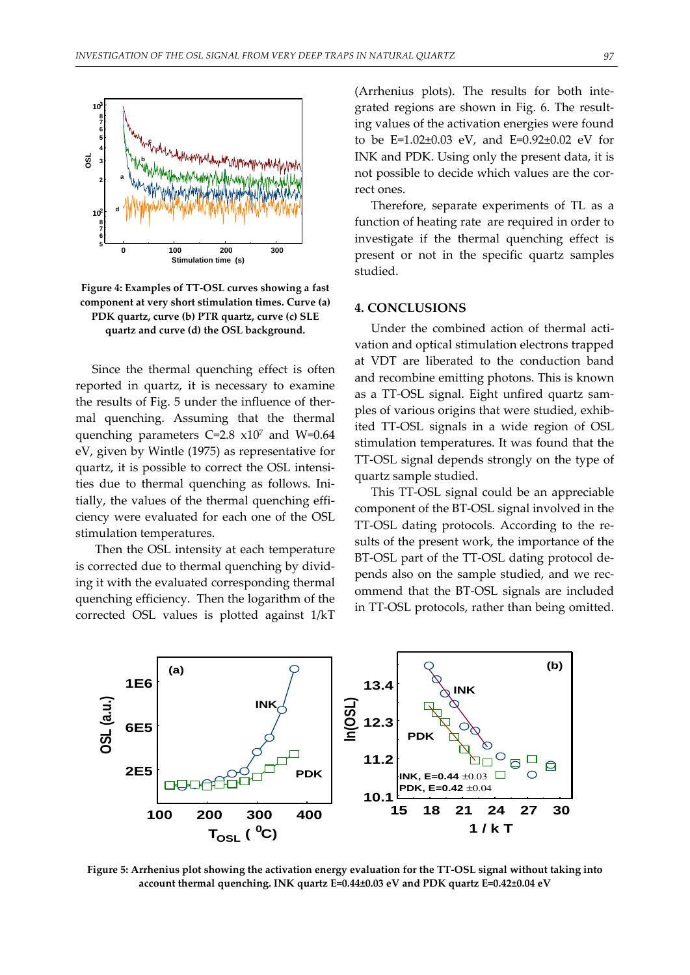

**Figure 4: Examples of TT‐OSL curves showing a fast component at very short stimulation times. Curve (a) PDK quartz, curve (b) PTR quartz, curve (c) SLE quartz and curve (d) the OSL background.**

Since the thermal quenching effect is often reported in quartz, it is necessary to examine the results of Fig. 5 under the influence of ther‐ mal quenching. Assuming that the thermal quenching parameters  $C=2.8 \times 10^7$  and W=0.64 eV, given by Wintle (1975) as representative for quartz, it is possible to correct the OSL intensi‐ ties due to thermal quenching as follows. Ini‐ tially, the values of the thermal quenching effi‐ ciency were evaluated for each one of the OSL stimulation temperatures.

Then the OSL intensity at each temperature is corrected due to thermal quenching by divid‐ ing it with the evaluated corresponding thermal quenching efficiency. Then the logarithm of the corrected OSL values is plotted against 1/kT (Arrhenius plots). The results for both inte‐ grated regions are shown in Fig. 6. The result‐ ing values of the activation energies were found to be E=1.02±0.03 eV, and E=0.92±0.02 eV for INK and PDK. Using only the present data, it is not possible to decide which values are the correct ones.

Therefore, separate experiments of TL as a function of heating rate are required in order to investigate if the thermal quenching effect is present or not in the specific quartz samples studied.

#### **4. CONCLUSIONS**

Under the combined action of thermal activation and optical stimulation electrons trapped at VDT are liberated to the conduction band and recombine emitting photons. This is known as a TT‐OSL signal. Eight unfired quartz sam‐ ples of various origins that were studied, exhibited TT‐OSL signals in a wide region of OSL stimulation temperatures. It was found that the TT‐OSL signal depends strongly on the type of quartz sample studied.

This TT‐OSL signal could be an appreciable component of the BT‐OSL signal involved in the TT‐OSL dating protocols. According to the re‐ sults of the present work, the importance of the BT‐OSL part of the TT‐OSL dating protocol de‐ pends also on the sample studied, and we recommend that the BT‐OSL signals are included in TT‐OSL protocols, rather than being omitted.



Figure 5: Arrhenius plot showing the activation energy evaluation for the TT-OSL signal without taking into **account thermal quenching. INK quartz E=0.44±0.03 eV and PDK quartz E=0.42±0.04 eV**